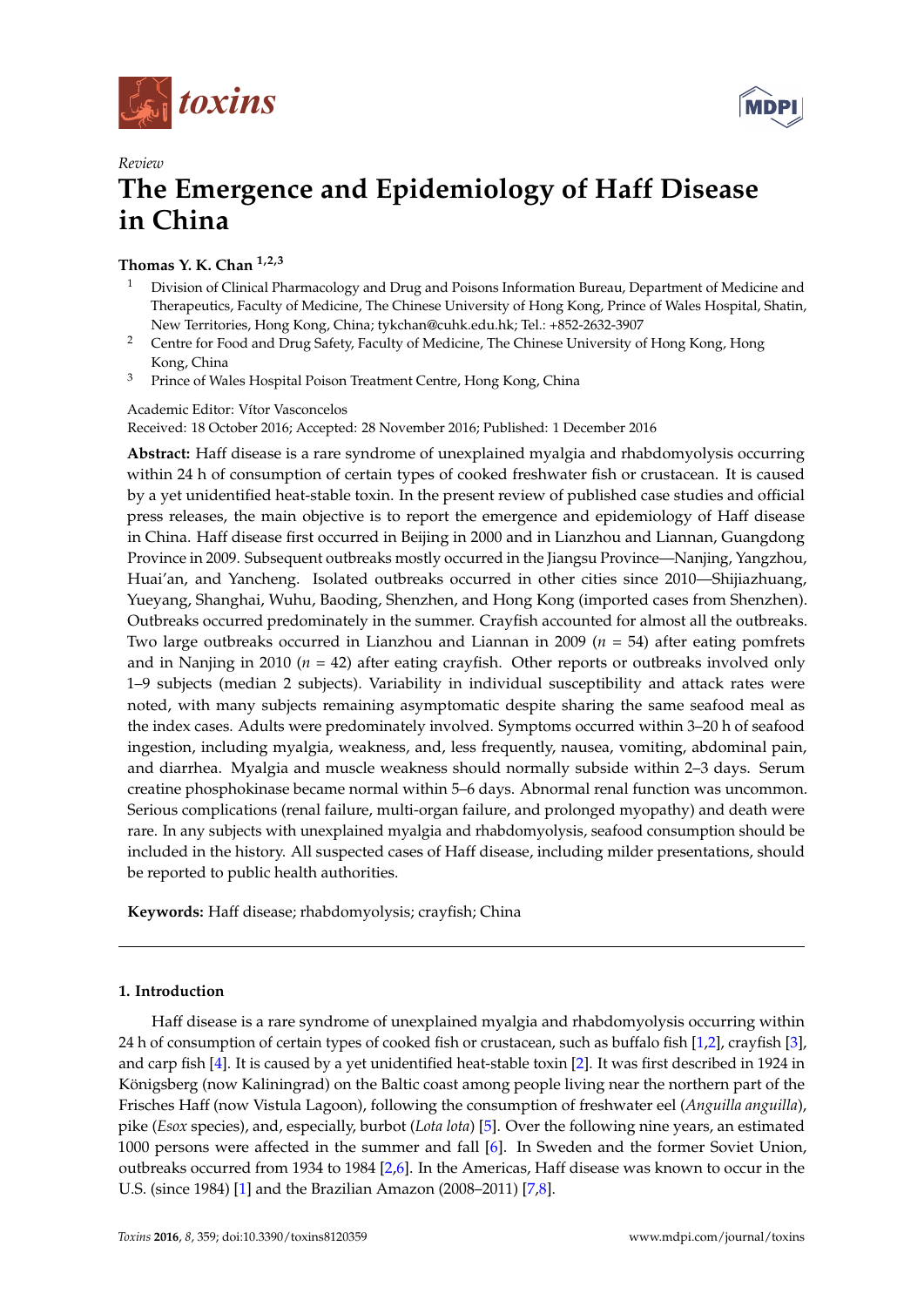



# *Review* **The Emergence and Epidemiology of Haff Disease in China**

## **Thomas Y. K. Chan 1,2,3**

- <sup>1</sup> Division of Clinical Pharmacology and Drug and Poisons Information Bureau, Department of Medicine and Therapeutics, Faculty of Medicine, The Chinese University of Hong Kong, Prince of Wales Hospital, Shatin, New Territories, Hong Kong, China; tykchan@cuhk.edu.hk; Tel.: +852-2632-3907
- <sup>2</sup> Centre for Food and Drug Safety, Faculty of Medicine, The Chinese University of Hong Kong, Hong Kong, China
- <sup>3</sup> Prince of Wales Hospital Poison Treatment Centre, Hong Kong, China

Academic Editor: Vítor Vasconcelos

Received: 18 October 2016; Accepted: 28 November 2016; Published: 1 December 2016

**Abstract:** Haff disease is a rare syndrome of unexplained myalgia and rhabdomyolysis occurring within 24 h of consumption of certain types of cooked freshwater fish or crustacean. It is caused by a yet unidentified heat-stable toxin. In the present review of published case studies and official press releases, the main objective is to report the emergence and epidemiology of Haff disease in China. Haff disease first occurred in Beijing in 2000 and in Lianzhou and Liannan, Guangdong Province in 2009. Subsequent outbreaks mostly occurred in the Jiangsu Province—Nanjing, Yangzhou, Huai'an, and Yancheng. Isolated outbreaks occurred in other cities since 2010—Shijiazhuang, Yueyang, Shanghai, Wuhu, Baoding, Shenzhen, and Hong Kong (imported cases from Shenzhen). Outbreaks occurred predominately in the summer. Crayfish accounted for almost all the outbreaks. Two large outbreaks occurred in Lianzhou and Liannan in 2009 (*n* = 54) after eating pomfrets and in Nanjing in 2010 ( $n = 42$ ) after eating crayfish. Other reports or outbreaks involved only 1–9 subjects (median 2 subjects). Variability in individual susceptibility and attack rates were noted, with many subjects remaining asymptomatic despite sharing the same seafood meal as the index cases. Adults were predominately involved. Symptoms occurred within 3–20 h of seafood ingestion, including myalgia, weakness, and, less frequently, nausea, vomiting, abdominal pain, and diarrhea. Myalgia and muscle weakness should normally subside within 2–3 days. Serum creatine phosphokinase became normal within 5–6 days. Abnormal renal function was uncommon. Serious complications (renal failure, multi-organ failure, and prolonged myopathy) and death were rare. In any subjects with unexplained myalgia and rhabdomyolysis, seafood consumption should be included in the history. All suspected cases of Haff disease, including milder presentations, should be reported to public health authorities.

**Keywords:** Haff disease; rhabdomyolysis; crayfish; China

## **1. Introduction**

Haff disease is a rare syndrome of unexplained myalgia and rhabdomyolysis occurring within 24 h of consumption of certain types of cooked fish or crustacean, such as buffalo fish [\[1](#page-6-0)[,2\]](#page-6-1), crayfish [\[3\]](#page-6-2), and carp fish [\[4\]](#page-6-3). It is caused by a yet unidentified heat-stable toxin [\[2\]](#page-6-1). It was first described in 1924 in Königsberg (now Kaliningrad) on the Baltic coast among people living near the northern part of the Frisches Haff (now Vistula Lagoon), following the consumption of freshwater eel (*Anguilla anguilla*), pike (*Esox* species), and, especially, burbot (*Lota lota*) [\[5\]](#page-6-4). Over the following nine years, an estimated 1000 persons were affected in the summer and fall [\[6\]](#page-6-5). In Sweden and the former Soviet Union, outbreaks occurred from 1934 to 1984 [\[2,](#page-6-1)[6\]](#page-6-5). In the Americas, Haff disease was known to occur in the U.S. (since 1984) [\[1\]](#page-6-0) and the Brazilian Amazon (2008–2011) [\[7](#page-6-6)[,8\]](#page-7-0).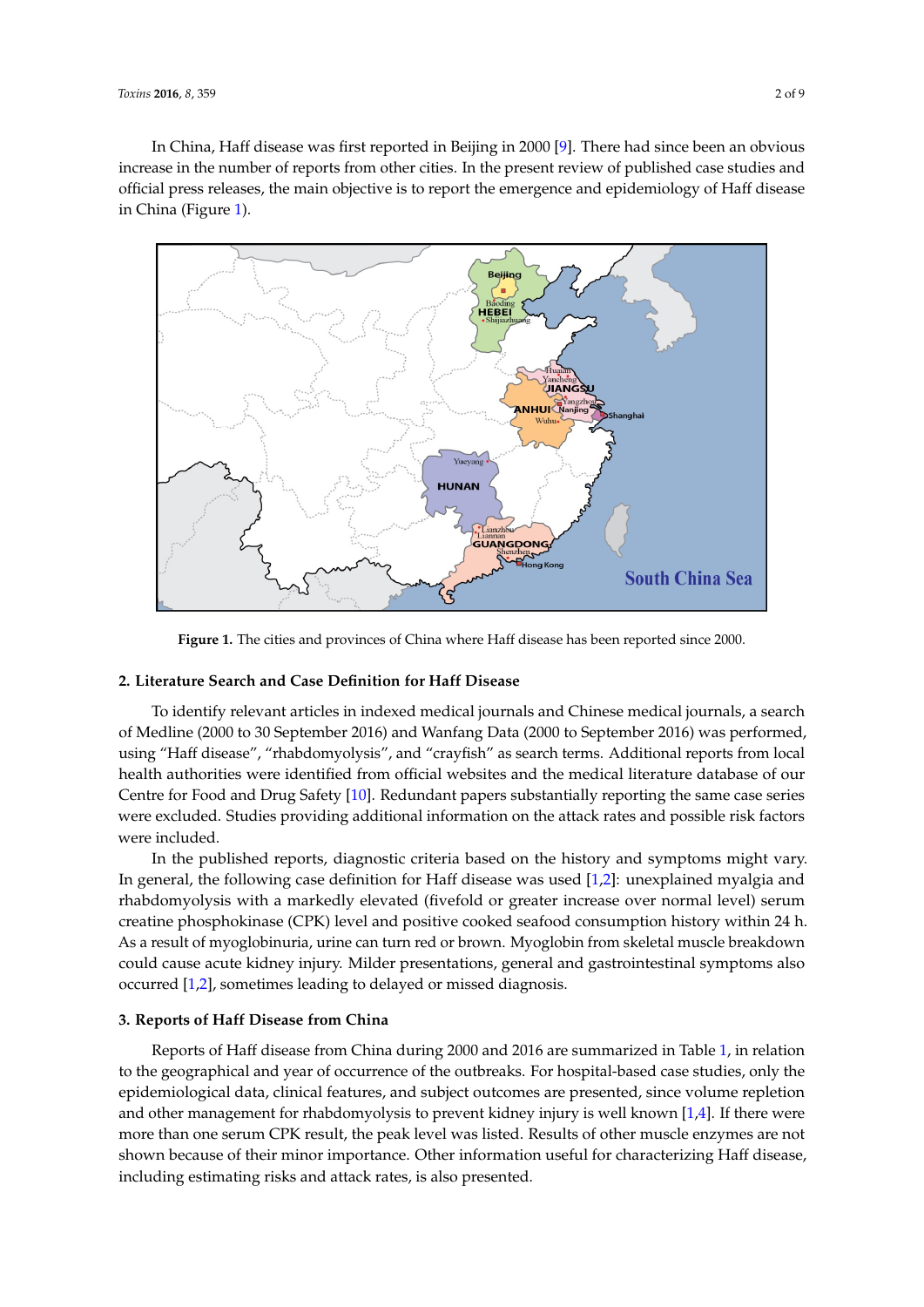In China, Haff disease was first reported in Beijing in 2000 [\[9\]](#page-7-1). There had since been an obvious In China, Tail alsease was first reported in Beijing in 2000 [9]. There had since been an obvious<br>increase in the number of reports from other cities. In the present review of published case studies and official press releases, the main objective is to report the emergence and epidemiology of Haff disease<br>. in China (Figure [1\)](#page-1-0). increase in the number of reports from other cities. In the present review of published case studies

<span id="page-1-0"></span>

**Figure 1.** The cities and provinces of China where Haff disease has been reported since 2000. **Figure 1.** The cities and provinces of China where Haff disease has been reported since 2000.

#### **2. Literature Search and Case Definition for Haff Disease 2. Literature Search and Case Definition for Haff Disease**

To identify relevant articles in indexed medical journals and Chinese medical journals, a search of Medline (2000 to 30 September 2016) and Wanfang Data (2000 to September 2016) was performed, using "Haff disease", "rhabdomyolysis", and "crayfish" as search terms. Additional reports from local health authorities were identified from official websites and the medical literature database of our Centre for Food and Drug Safety [\[10\]](#page-7-2). Redundant papers substantially reporting the same case series were excluded. Studies providing additional information on the attack rates and possible risk factors In the published reports, diagnostic criteria based on the history and symptoms might vary. In the history and symptoms might vary. In the history and symptoms might vary. In the history and symptoms might vary. In the his were included.

In the published reports, diagnostic criteria based on the history and symptoms might vary. In general, the following case definition for Haff disease was used [\[1,](#page-6-0)[2\]](#page-6-1): unexplained myalgia and rhabdomyolysis with a markedly elevated (fivefold or greater increase over normal level) serum creatine phosphokinase (CPK) level and positive cooked seafood consumption history within 24 h. As a result of myoglobinuria, urine can turn red or brown. Myoglobin from skeletal muscle breakdown could cause acute kidney injury. Milder presentations, general and gastrointestinal symptoms also **3. Reports of Haff Disease from China** occurred [\[1,](#page-6-0)[2\]](#page-6-1), sometimes leading to delayed or missed diagnosis.

#### Reports of Haff disease from China during 2000 and 2016 are summarized in Table 1, in relation **3. Reports of Haff Disease from China**

Reports of Haff disease from China during 2000 and 2016 are summarized in Table [1,](#page-3-0) in relation to the geographical and year of occurrence of the outbreaks. For hospital-based case studies, only the and other management for reduction of the prevent kidney into present known the statutes, only is epidemiological data, clinical features, and subject outcomes are presented, since volume repletion<br>end in the clinical features, and subject outcomes are presented, since volume repletion and other management for rhabdomyolysis to prevent kidney injury is well known [\[1,](#page-6-0)[4\]](#page-6-3). If there were more than one serum CPK result, the peak level was listed. Results of other muscle enzymes are not shown because of their minor importance. Other information useful for characterizing Haff disease, including estimating risks and attack rates, is also presented.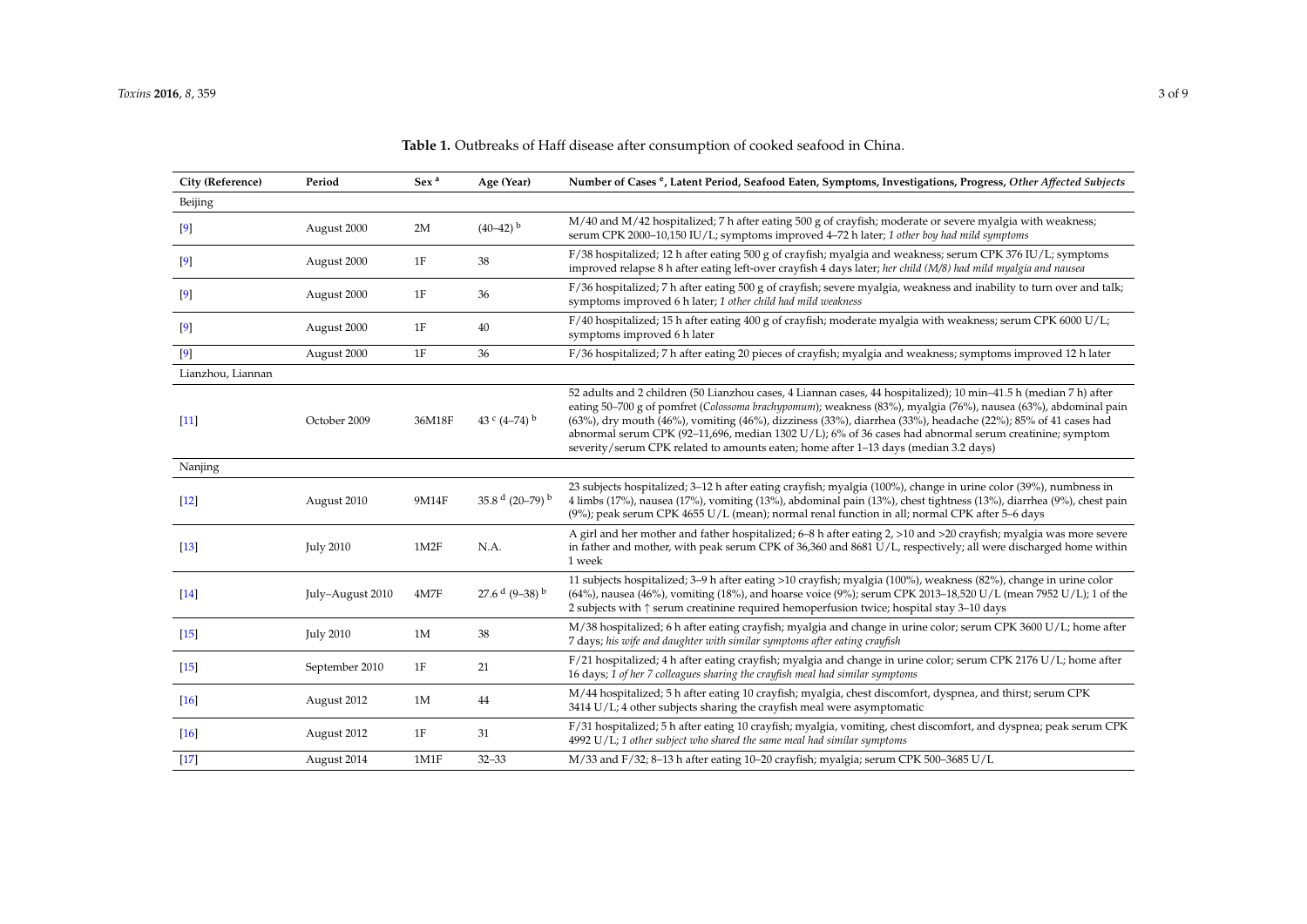| City (Reference)   | Period           | Sex <sup>a</sup> | Age (Year)                 | Number of Cases <sup>e</sup> , Latent Period, Seafood Eaten, Symptoms, Investigations, Progress, Other Affected Subjects                                                                                                                                                                                                                                                                                                                                                                                                                             |
|--------------------|------------------|------------------|----------------------------|------------------------------------------------------------------------------------------------------------------------------------------------------------------------------------------------------------------------------------------------------------------------------------------------------------------------------------------------------------------------------------------------------------------------------------------------------------------------------------------------------------------------------------------------------|
| Beijing            |                  |                  |                            |                                                                                                                                                                                                                                                                                                                                                                                                                                                                                                                                                      |
| $^{[9]}$           | August 2000      | 2M               | $(40-42)$ <sup>b</sup>     | M/40 and M/42 hospitalized; 7 h after eating 500 g of crayfish; moderate or severe myalgia with weakness;<br>serum CPK 2000-10,150 IU/L; symptoms improved 4-72 h later; 1 other boy had mild symptoms                                                                                                                                                                                                                                                                                                                                               |
| $\lceil 9 \rceil$  | August 2000      | 1F               | 38                         | F/38 hospitalized; 12 h after eating 500 g of crayfish; myalgia and weakness; serum CPK 376 IU/L; symptoms<br>improved relapse 8 h after eating left-over crayfish 4 days later; her child (M/8) had mild myalgia and nausea                                                                                                                                                                                                                                                                                                                         |
| $^{[9]}$           | August 2000      | 1F               | 36                         | F/36 hospitalized; 7 h after eating 500 g of crayfish; severe myalgia, weakness and inability to turn over and talk;<br>symptoms improved 6 h later; 1 other child had mild weakness                                                                                                                                                                                                                                                                                                                                                                 |
| $\left[9\right]$   | August 2000      | 1F               | 40                         | F/40 hospitalized; 15 h after eating 400 g of crayfish; moderate myalgia with weakness; serum CPK 6000 U/L;<br>symptoms improved 6 h later                                                                                                                                                                                                                                                                                                                                                                                                           |
| $[9]$              | August 2000      | 1F               | 36                         | F/36 hospitalized; 7 h after eating 20 pieces of crayfish; myalgia and weakness; symptoms improved 12 h later                                                                                                                                                                                                                                                                                                                                                                                                                                        |
| Lianzhou, Liannan  |                  |                  |                            |                                                                                                                                                                                                                                                                                                                                                                                                                                                                                                                                                      |
| $[11]$             | October 2009     | 36M18F           | 43 ° $(4-74)$ <sup>b</sup> | 52 adults and 2 children (50 Lianzhou cases, 4 Liannan cases, 44 hospitalized); 10 min-41.5 h (median 7 h) after<br>eating 50–700 g of pomfret (Colossoma brachypomum); weakness (83%), myalgia (76%), nausea (63%), abdominal pain<br>(63%), dry mouth (46%), vomiting (46%), dizziness (33%), diarrhea (33%), headache (22%); 85% of 41 cases had<br>abnormal serum CPK (92-11,696, median 1302 U/L); 6% of 36 cases had abnormal serum creatinine; symptom<br>severity/serum CPK related to amounts eaten; home after 1-13 days (median 3.2 days) |
| Nanjing            |                  |                  |                            |                                                                                                                                                                                                                                                                                                                                                                                                                                                                                                                                                      |
| $[12]$             | August 2010      | 9M14F            | 35.8 $d$ (20-79) $b$       | 23 subjects hospitalized; 3–12 h after eating crayfish; myalgia (100%), change in urine color (39%), numbness in<br>4 limbs (17%), nausea (17%), vomiting (13%), abdominal pain (13%), chest tightness (13%), diarrhea (9%), chest pain<br>(9%); peak serum CPK 4655 U/L (mean); normal renal function in all; normal CPK after 5-6 days                                                                                                                                                                                                             |
| $[13]$             | <b>July 2010</b> | 1M2F             | N.A.                       | A girl and her mother and father hospitalized; 6-8 h after eating 2, >10 and >20 crayfish; myalgia was more severe<br>in father and mother, with peak serum CPK of 36,360 and 8681 U/L, respectively; all were discharged home within<br>1 week                                                                                                                                                                                                                                                                                                      |
| $[14]$             | July-August 2010 | 4M7F             | 27.6 $d$ (9-38) $b$        | 11 subjects hospitalized; 3–9 h after eating >10 crayfish; myalgia (100%), weakness (82%), change in urine color<br>(64%), nausea (46%), vomiting (18%), and hoarse voice (9%); serum CPK 2013-18,520 U/L (mean 7952 U/L); 1 of the<br>2 subjects with $\uparrow$ serum creatinine required hemoperfusion twice; hospital stay 3–10 days                                                                                                                                                                                                             |
| $[15]$             | <b>July 2010</b> | 1M               | 38                         | M/38 hospitalized; 6 h after eating crayfish; myalgia and change in urine color; serum CPK 3600 U/L; home after<br>7 days; his wife and daughter with similar symptoms after eating crayfish                                                                                                                                                                                                                                                                                                                                                         |
| $[15]$             | September 2010   | 1F               | 21                         | F/21 hospitalized; 4 h after eating crayfish; myalgia and change in urine color; serum CPK 2176 U/L; home after<br>16 days; 1 of her 7 colleagues sharing the crayfish meal had similar symptoms                                                                                                                                                                                                                                                                                                                                                     |
| $[16]$             | August 2012      | 1M               | 44                         | M/44 hospitalized; 5 h after eating 10 crayfish; myalgia, chest discomfort, dyspnea, and thirst; serum CPK<br>3414 U/L; 4 other subjects sharing the crayfish meal were asymptomatic                                                                                                                                                                                                                                                                                                                                                                 |
| $\lceil 16 \rceil$ | August 2012      | 1F               | 31                         | F/31 hospitalized; 5 h after eating 10 crayfish; myalgia, vomiting, chest discomfort, and dyspnea; peak serum CPK<br>4992 U/L; 1 other subject who shared the same meal had similar symptoms                                                                                                                                                                                                                                                                                                                                                         |
| $[17]$             | August 2014      | 1M1F             | $32 - 33$                  | M/33 and F/32; 8-13 h after eating 10-20 crayfish; myalgia; serum CPK 500-3685 U/L                                                                                                                                                                                                                                                                                                                                                                                                                                                                   |

## **Table 1.** Outbreaks of Haff disease after consumption of cooked seafood in China.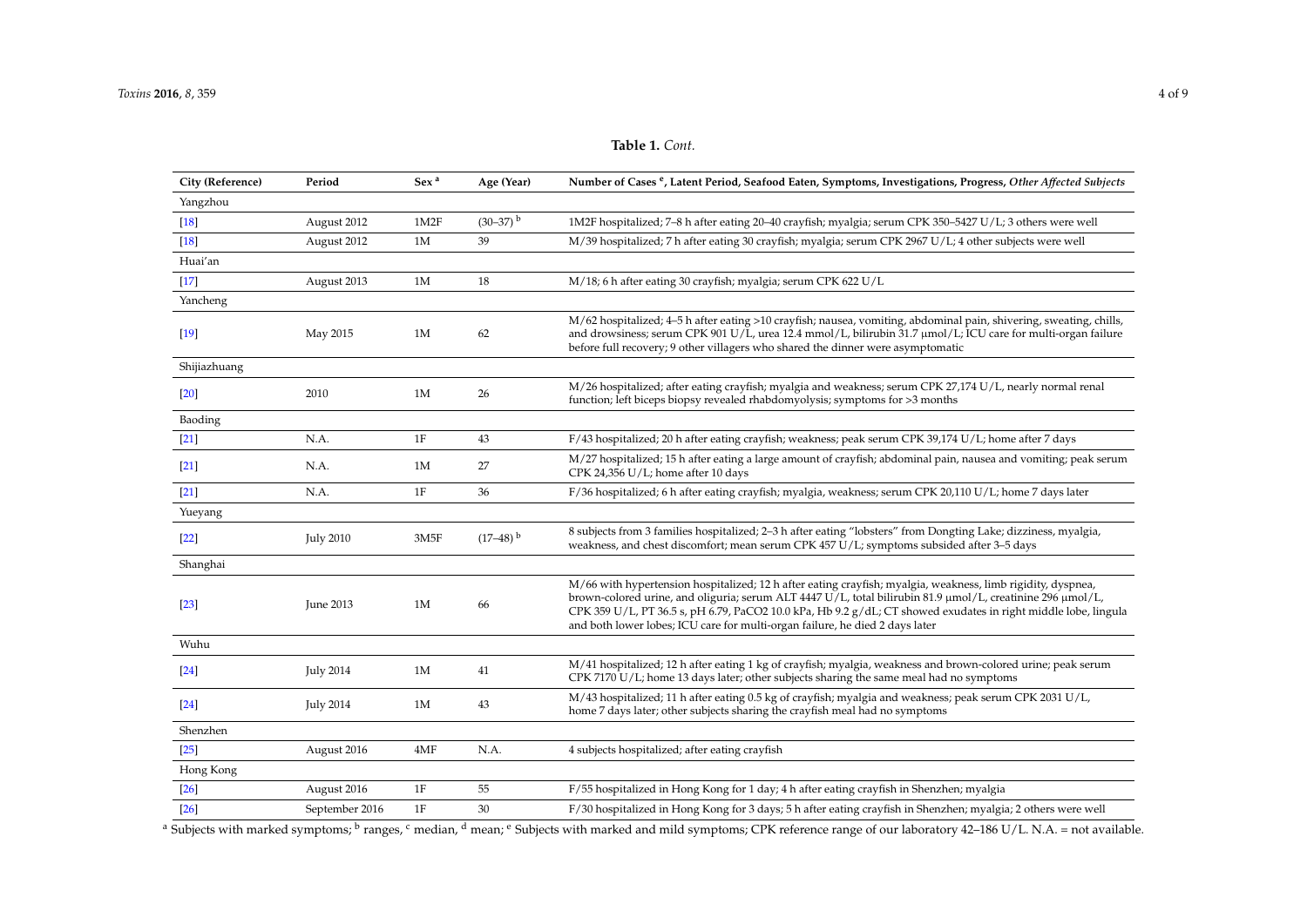## **Table 1.** *Cont.*

| City (Reference) | Period           | Sex <sup>a</sup> | Age (Year)             | Number of Cases <sup>e</sup> , Latent Period, Seafood Eaten, Symptoms, Investigations, Progress, Other Affected Subjects                                                                                                                                                                                                                                                                                                       |
|------------------|------------------|------------------|------------------------|--------------------------------------------------------------------------------------------------------------------------------------------------------------------------------------------------------------------------------------------------------------------------------------------------------------------------------------------------------------------------------------------------------------------------------|
| Yangzhou         |                  |                  |                        |                                                                                                                                                                                                                                                                                                                                                                                                                                |
| $[18]$           | August 2012      | 1M2F             | $(30-37)$ <sup>b</sup> | 1M2F hospitalized; 7–8 h after eating 20–40 crayfish; myalgia; serum CPK 350–5427 U/L; 3 others were well                                                                                                                                                                                                                                                                                                                      |
| $[18]$           | August 2012      | 1M               | 39                     | M/39 hospitalized; 7 h after eating 30 crayfish; myalgia; serum CPK 2967 U/L; 4 other subjects were well                                                                                                                                                                                                                                                                                                                       |
| Huai'an          |                  |                  |                        |                                                                                                                                                                                                                                                                                                                                                                                                                                |
| $[17]$           | August 2013      | 1M               | 18                     | M/18; 6 h after eating 30 crayfish; myalgia; serum CPK 622 U/L                                                                                                                                                                                                                                                                                                                                                                 |
| Yancheng         |                  |                  |                        |                                                                                                                                                                                                                                                                                                                                                                                                                                |
| $[19]$           | May 2015         | 1M               | 62                     | M/62 hospitalized; 4–5 h after eating >10 crayfish; nausea, vomiting, abdominal pain, shivering, sweating, chills,<br>and drowsiness; serum CPK 901 U/L, urea 12.4 mmol/L, bilirubin 31.7 µmol/L; ICU care for multi-organ failure<br>before full recovery; 9 other villagers who shared the dinner were asymptomatic                                                                                                          |
| Shijiazhuang     |                  |                  |                        |                                                                                                                                                                                                                                                                                                                                                                                                                                |
| $[20]$           | 2010             | 1M               | 26                     | M/26 hospitalized; after eating crayfish; myalgia and weakness; serum CPK 27,174 U/L, nearly normal renal<br>function; left biceps biopsy revealed rhabdomyolysis; symptoms for >3 months                                                                                                                                                                                                                                      |
| Baoding          |                  |                  |                        |                                                                                                                                                                                                                                                                                                                                                                                                                                |
| $[21]$           | N.A.             | 1F               | 43                     | F/43 hospitalized; 20 h after eating crayfish; weakness; peak serum CPK 39,174 U/L; home after 7 days                                                                                                                                                                                                                                                                                                                          |
| $[21]$           | N.A.             | 1M               | 27                     | M/27 hospitalized; 15 h after eating a large amount of crayfish; abdominal pain, nausea and vomiting; peak serum<br>CPK 24,356 U/L; home after 10 days                                                                                                                                                                                                                                                                         |
| $[21]$           | N.A.             | 1F               | 36                     | F/36 hospitalized; 6 h after eating crayfish; myalgia, weakness; serum CPK 20,110 U/L; home 7 days later                                                                                                                                                                                                                                                                                                                       |
| Yueyang          |                  |                  |                        |                                                                                                                                                                                                                                                                                                                                                                                                                                |
| $[22]$           | <b>July 2010</b> | 3M5F             | $(17-48)^{b}$          | 8 subjects from 3 families hospitalized; 2-3 h after eating "lobsters" from Dongting Lake; dizziness, myalgia,<br>weakness, and chest discomfort; mean serum CPK 457 U/L; symptoms subsided after 3-5 days                                                                                                                                                                                                                     |
| Shanghai         |                  |                  |                        |                                                                                                                                                                                                                                                                                                                                                                                                                                |
| $[23]$           | June 2013        | 1M               | 66                     | M/66 with hypertension hospitalized; 12 h after eating crayfish; myalgia, weakness, limb rigidity, dyspnea,<br>brown-colored urine, and oliguria; serum ALT 4447 U/L, total bilirubin 81.9 µmol/L, creatinine 296 µmol/L,<br>CPK 359 U/L, PT 36.5 s, pH 6.79, PaCO2 10.0 kPa, Hb 9.2 $g$ /dL; CT showed exudates in right middle lobe, lingula<br>and both lower lobes; ICU care for multi-organ failure, he died 2 days later |
| Wuhu             |                  |                  |                        |                                                                                                                                                                                                                                                                                                                                                                                                                                |
| $[24]$           | <b>July 2014</b> | 1M               | 41                     | M/41 hospitalized; 12 h after eating 1 kg of crayfish; myalgia, weakness and brown-colored urine; peak serum<br>CPK 7170 U/L; home 13 days later; other subjects sharing the same meal had no symptoms                                                                                                                                                                                                                         |
| $[24]$           | <b>July 2014</b> | 1M               | 43                     | M/43 hospitalized; 11 h after eating 0.5 kg of crayfish; myalgia and weakness; peak serum CPK 2031 U/L,<br>home 7 days later; other subjects sharing the crayfish meal had no symptoms                                                                                                                                                                                                                                         |
| Shenzhen         |                  |                  |                        |                                                                                                                                                                                                                                                                                                                                                                                                                                |
| $[25]$           | August 2016      | 4MF              | N.A.                   | 4 subjects hospitalized; after eating crayfish                                                                                                                                                                                                                                                                                                                                                                                 |
| Hong Kong        |                  |                  |                        |                                                                                                                                                                                                                                                                                                                                                                                                                                |
| $[26]$           | August 2016      | 1F               | 55                     | F/55 hospitalized in Hong Kong for 1 day; 4 h after eating crayfish in Shenzhen; myalgia                                                                                                                                                                                                                                                                                                                                       |
| $[26]$           | September 2016   | 1F               | 30                     | F/30 hospitalized in Hong Kong for 3 days; 5 h after eating crayfish in Shenzhen; myalgia; 2 others were well                                                                                                                                                                                                                                                                                                                  |

<span id="page-3-0"></span><sup>a</sup> Subjects with marked symptoms; <sup>b</sup> ranges, <sup>c</sup> median, <sup>d</sup> mean; <sup>e</sup> Subjects with marked and mild symptoms; CPK reference range of our laboratory 42–186 U/L. N.A. = not available.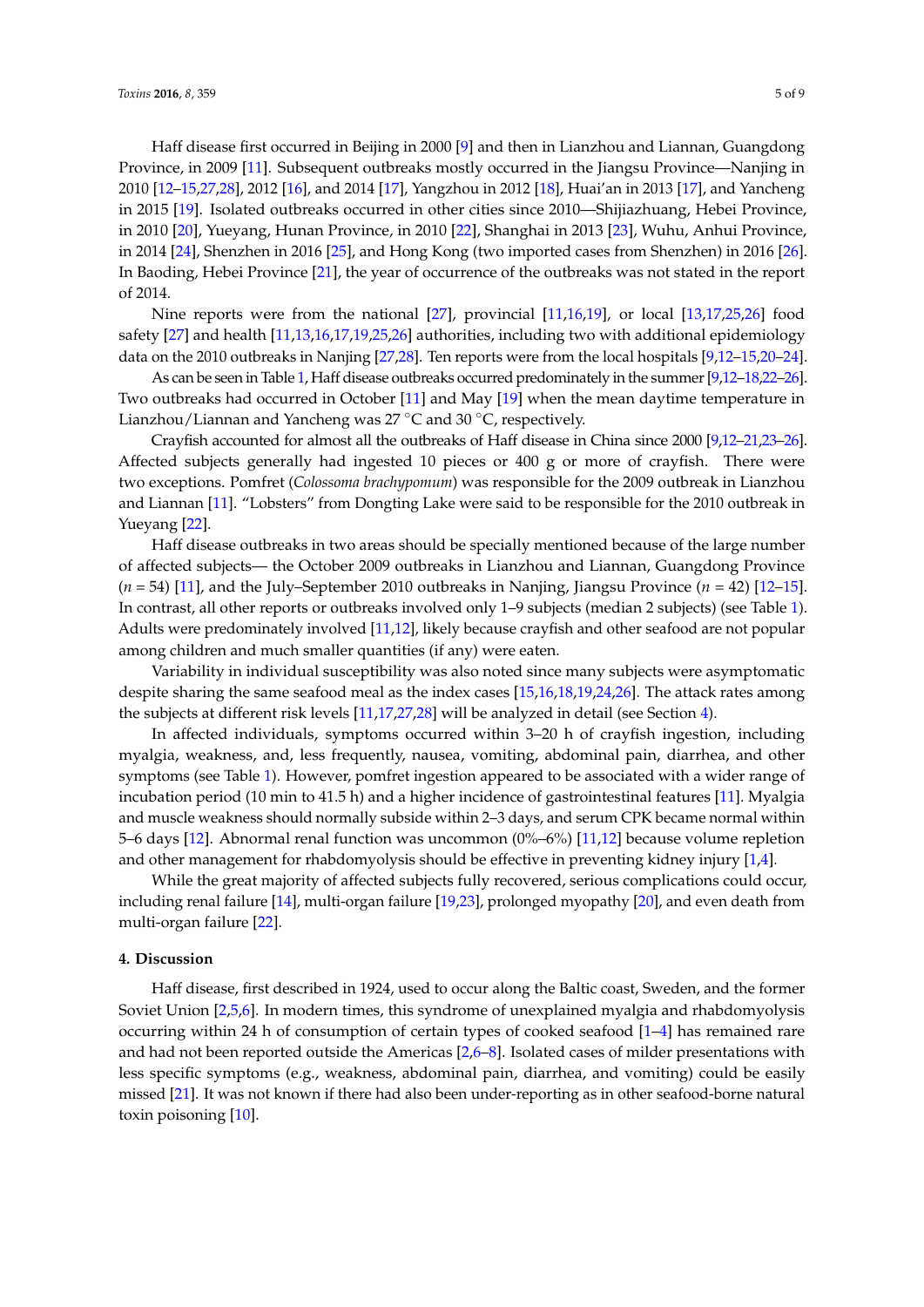Haff disease first occurred in Beijing in 2000 [\[9\]](#page-7-1) and then in Lianzhou and Liannan, Guangdong Province, in 2009 [\[11\]](#page-7-20). Subsequent outbreaks mostly occurred in the Jiangsu Province—Nanjing in 2010 [\[12–](#page-7-21)[15,](#page-7-22)[27](#page-7-23)[,28\]](#page-7-24), 2012 [\[16\]](#page-7-25), and 2014 [\[17\]](#page-7-26), Yangzhou in 2012 [\[18\]](#page-7-27), Huai'an in 2013 [\[17\]](#page-7-26), and Yancheng in 2015 [\[19\]](#page-7-28). Isolated outbreaks occurred in other cities since 2010—Shijiazhuang, Hebei Province, in 2010 [\[20\]](#page-7-29), Yueyang, Hunan Province, in 2010 [\[22\]](#page-7-30), Shanghai in 2013 [\[23\]](#page-7-31), Wuhu, Anhui Province, in 2014 [\[24\]](#page-7-32), Shenzhen in 2016 [\[25\]](#page-7-33), and Hong Kong (two imported cases from Shenzhen) in 2016 [\[26\]](#page-7-34). In Baoding, Hebei Province [\[21\]](#page-7-35), the year of occurrence of the outbreaks was not stated in the report of 2014.

Nine reports were from the national [\[27\]](#page-7-23), provincial [\[11](#page-7-20)[,16](#page-7-25)[,19\]](#page-7-28), or local [\[13](#page-7-36)[,17,](#page-7-26)[25](#page-7-33)[,26\]](#page-7-34) food safety [\[27\]](#page-7-23) and health [\[11,](#page-7-20)[13,](#page-7-36)[16,](#page-7-25)[17,](#page-7-26)[19,](#page-7-28)[25,](#page-7-33)[26\]](#page-7-34) authorities, including two with additional epidemiology data on the 2010 outbreaks in Nanjing [\[27](#page-7-23)[,28\]](#page-7-24). Ten reports were from the local hospitals [\[9](#page-7-1)[,12–](#page-7-21)[15,](#page-7-22)[20–](#page-7-29)[24\]](#page-7-32).

As can be seen in Table [1,](#page-3-0) Haff disease outbreaks occurred predominately in the summer [\[9,](#page-7-1)[12–](#page-7-21)[18](#page-7-27)[,22–](#page-7-30)[26\]](#page-7-34). Two outbreaks had occurred in October [\[11\]](#page-7-20) and May [\[19\]](#page-7-28) when the mean daytime temperature in Lianzhou/Liannan and Yancheng was 27 ◦C and 30 ◦C, respectively.

Crayfish accounted for almost all the outbreaks of Haff disease in China since 2000 [\[9](#page-7-1)[,12–](#page-7-21)[21](#page-7-35)[,23](#page-7-31)[–26\]](#page-7-34). Affected subjects generally had ingested 10 pieces or 400 g or more of crayfish. There were two exceptions. Pomfret (*Colossoma brachypomum*) was responsible for the 2009 outbreak in Lianzhou and Liannan [\[11\]](#page-7-20). "Lobsters" from Dongting Lake were said to be responsible for the 2010 outbreak in Yueyang [\[22\]](#page-7-30).

Haff disease outbreaks in two areas should be specially mentioned because of the large number of affected subjects— the October 2009 outbreaks in Lianzhou and Liannan, Guangdong Province (*n* = 54) [\[11\]](#page-7-20), and the July–September 2010 outbreaks in Nanjing, Jiangsu Province (*n* = 42) [\[12–](#page-7-21)[15\]](#page-7-22). In contrast, all other reports or outbreaks involved only 1–9 subjects (median 2 subjects) (see Table [1\)](#page-3-0). Adults were predominately involved [\[11](#page-7-20)[,12\]](#page-7-21), likely because crayfish and other seafood are not popular among children and much smaller quantities (if any) were eaten.

Variability in individual susceptibility was also noted since many subjects were asymptomatic despite sharing the same seafood meal as the index cases [\[15](#page-7-22)[,16](#page-7-25)[,18](#page-7-27)[,19](#page-7-28)[,24](#page-7-32)[,26\]](#page-7-34). The attack rates among the subjects at different risk levels [\[11,](#page-7-20)[17,](#page-7-26)[27,](#page-7-23)[28\]](#page-7-24) will be analyzed in detail (see Section [4\)](#page-4-0).

In affected individuals, symptoms occurred within 3–20 h of crayfish ingestion, including myalgia, weakness, and, less frequently, nausea, vomiting, abdominal pain, diarrhea, and other symptoms (see Table [1\)](#page-3-0). However, pomfret ingestion appeared to be associated with a wider range of incubation period (10 min to 41.5 h) and a higher incidence of gastrointestinal features [\[11\]](#page-7-20). Myalgia and muscle weakness should normally subside within 2–3 days, and serum CPK became normal within 5–6 days [\[12\]](#page-7-21). Abnormal renal function was uncommon (0%–6%) [\[11,](#page-7-20)[12\]](#page-7-21) because volume repletion and other management for rhabdomyolysis should be effective in preventing kidney injury [\[1](#page-6-0)[,4\]](#page-6-3).

While the great majority of affected subjects fully recovered, serious complications could occur, including renal failure [\[14\]](#page-7-37), multi-organ failure [\[19,](#page-7-28)[23\]](#page-7-31), prolonged myopathy [\[20\]](#page-7-29), and even death from multi-organ failure [\[22\]](#page-7-30).

#### <span id="page-4-0"></span>**4. Discussion**

Haff disease, first described in 1924, used to occur along the Baltic coast, Sweden, and the former Soviet Union [\[2,](#page-6-1)[5,](#page-6-4)[6\]](#page-6-5). In modern times, this syndrome of unexplained myalgia and rhabdomyolysis occurring within 24 h of consumption of certain types of cooked seafood [\[1](#page-6-0)[–4\]](#page-6-3) has remained rare and had not been reported outside the Americas [\[2](#page-6-1)[,6](#page-6-5)[–8\]](#page-7-0). Isolated cases of milder presentations with less specific symptoms (e.g., weakness, abdominal pain, diarrhea, and vomiting) could be easily missed [\[21\]](#page-7-35). It was not known if there had also been under-reporting as in other seafood-borne natural toxin poisoning [\[10\]](#page-7-2).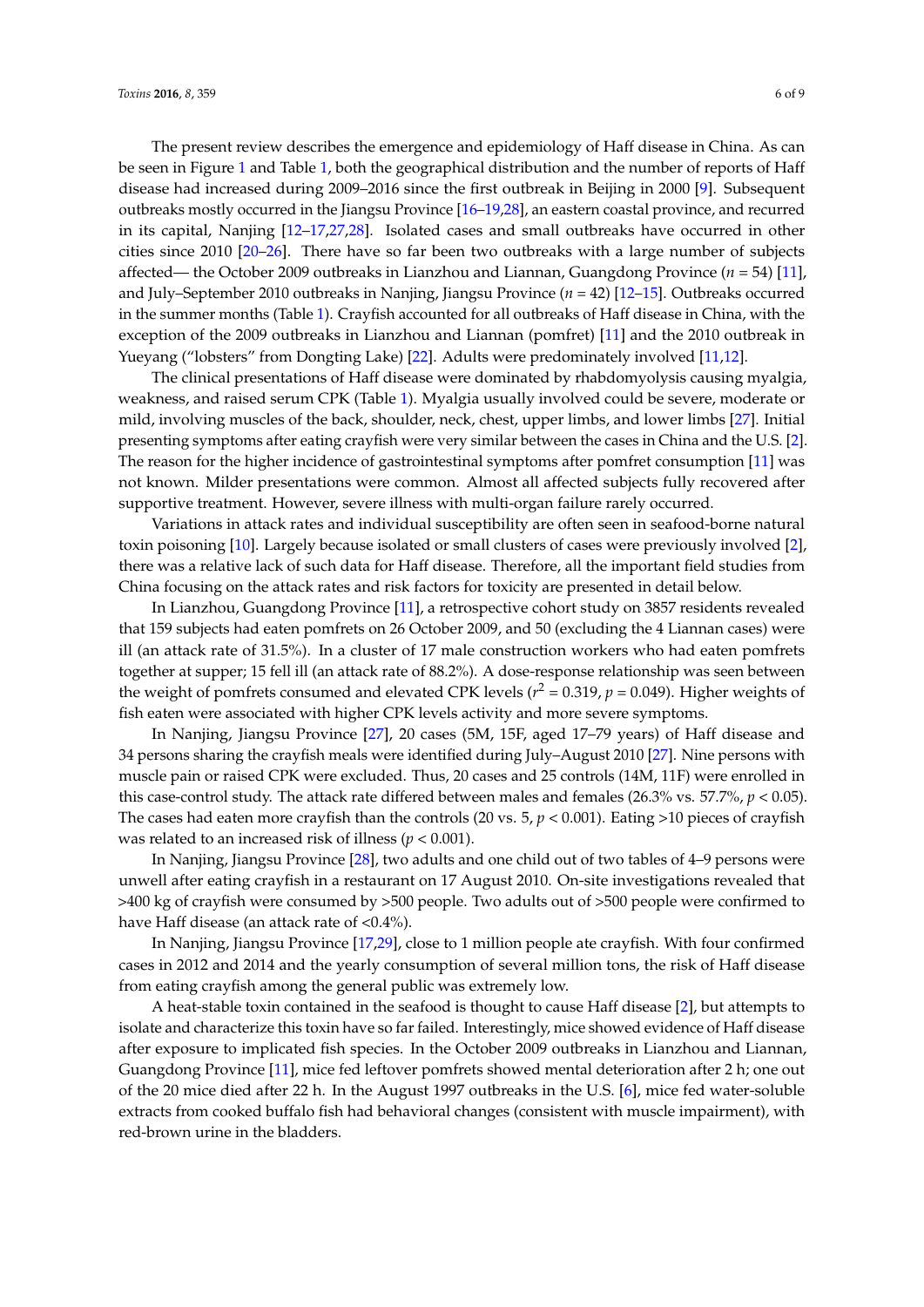The present review describes the emergence and epidemiology of Haff disease in China. As can be seen in Figure [1](#page-1-0) and Table [1,](#page-3-0) both the geographical distribution and the number of reports of Haff disease had increased during 2009–2016 since the first outbreak in Beijing in 2000 [\[9\]](#page-7-1). Subsequent outbreaks mostly occurred in the Jiangsu Province [\[16–](#page-7-25)[19](#page-7-28)[,28\]](#page-7-24), an eastern coastal province, and recurred in its capital, Nanjing [\[12–](#page-7-21)[17](#page-7-26)[,27](#page-7-23)[,28\]](#page-7-24). Isolated cases and small outbreaks have occurred in other cities since 2010 [\[20–](#page-7-29)[26\]](#page-7-34). There have so far been two outbreaks with a large number of subjects affected— the October 2009 outbreaks in Lianzhou and Liannan, Guangdong Province (*n* = 54) [\[11\]](#page-7-20), and July–September 2010 outbreaks in Nanjing, Jiangsu Province (*n* = 42) [\[12](#page-7-21)[–15\]](#page-7-22). Outbreaks occurred in the summer months (Table [1\)](#page-3-0). Crayfish accounted for all outbreaks of Haff disease in China, with the exception of the 2009 outbreaks in Lianzhou and Liannan (pomfret) [\[11\]](#page-7-20) and the 2010 outbreak in Yueyang ("lobsters" from Dongting Lake) [\[22\]](#page-7-30). Adults were predominately involved [\[11](#page-7-20)[,12\]](#page-7-21).

The clinical presentations of Haff disease were dominated by rhabdomyolysis causing myalgia, weakness, and raised serum CPK (Table [1\)](#page-3-0). Myalgia usually involved could be severe, moderate or mild, involving muscles of the back, shoulder, neck, chest, upper limbs, and lower limbs [\[27\]](#page-7-23). Initial presenting symptoms after eating crayfish were very similar between the cases in China and the U.S. [\[2\]](#page-6-1). The reason for the higher incidence of gastrointestinal symptoms after pomfret consumption [\[11\]](#page-7-20) was not known. Milder presentations were common. Almost all affected subjects fully recovered after supportive treatment. However, severe illness with multi-organ failure rarely occurred.

Variations in attack rates and individual susceptibility are often seen in seafood-borne natural toxin poisoning [\[10\]](#page-7-2). Largely because isolated or small clusters of cases were previously involved [\[2\]](#page-6-1), there was a relative lack of such data for Haff disease. Therefore, all the important field studies from China focusing on the attack rates and risk factors for toxicity are presented in detail below.

In Lianzhou, Guangdong Province [\[11\]](#page-7-20), a retrospective cohort study on 3857 residents revealed that 159 subjects had eaten pomfrets on 26 October 2009, and 50 (excluding the 4 Liannan cases) were ill (an attack rate of 31.5%). In a cluster of 17 male construction workers who had eaten pomfrets together at supper; 15 fell ill (an attack rate of 88.2%). A dose-response relationship was seen between the weight of pomfrets consumed and elevated CPK levels ( $r^2$  = 0.319,  $p$  = 0.049). Higher weights of fish eaten were associated with higher CPK levels activity and more severe symptoms.

In Nanjing, Jiangsu Province [\[27\]](#page-7-23), 20 cases (5M, 15F, aged 17–79 years) of Haff disease and 34 persons sharing the crayfish meals were identified during July–August 2010 [\[27\]](#page-7-23). Nine persons with muscle pain or raised CPK were excluded. Thus, 20 cases and 25 controls (14M, 11F) were enrolled in this case-control study. The attack rate differed between males and females (26.3% vs. 57.7%, *p* < 0.05). The cases had eaten more crayfish than the controls (20 vs. 5, *p* < 0.001). Eating >10 pieces of crayfish was related to an increased risk of illness (*p* < 0.001).

In Nanjing, Jiangsu Province [\[28\]](#page-7-24), two adults and one child out of two tables of 4–9 persons were unwell after eating crayfish in a restaurant on 17 August 2010. On-site investigations revealed that >400 kg of crayfish were consumed by >500 people. Two adults out of >500 people were confirmed to have Haff disease (an attack rate of <0.4%).

In Nanjing, Jiangsu Province [\[17,](#page-7-26)[29\]](#page-7-38), close to 1 million people ate crayfish. With four confirmed cases in 2012 and 2014 and the yearly consumption of several million tons, the risk of Haff disease from eating crayfish among the general public was extremely low.

A heat-stable toxin contained in the seafood is thought to cause Haff disease [\[2\]](#page-6-1), but attempts to isolate and characterize this toxin have so far failed. Interestingly, mice showed evidence of Haff disease after exposure to implicated fish species. In the October 2009 outbreaks in Lianzhou and Liannan, Guangdong Province [\[11\]](#page-7-20), mice fed leftover pomfrets showed mental deterioration after 2 h; one out of the 20 mice died after 22 h. In the August 1997 outbreaks in the U.S. [\[6\]](#page-6-5), mice fed water-soluble extracts from cooked buffalo fish had behavioral changes (consistent with muscle impairment), with red-brown urine in the bladders.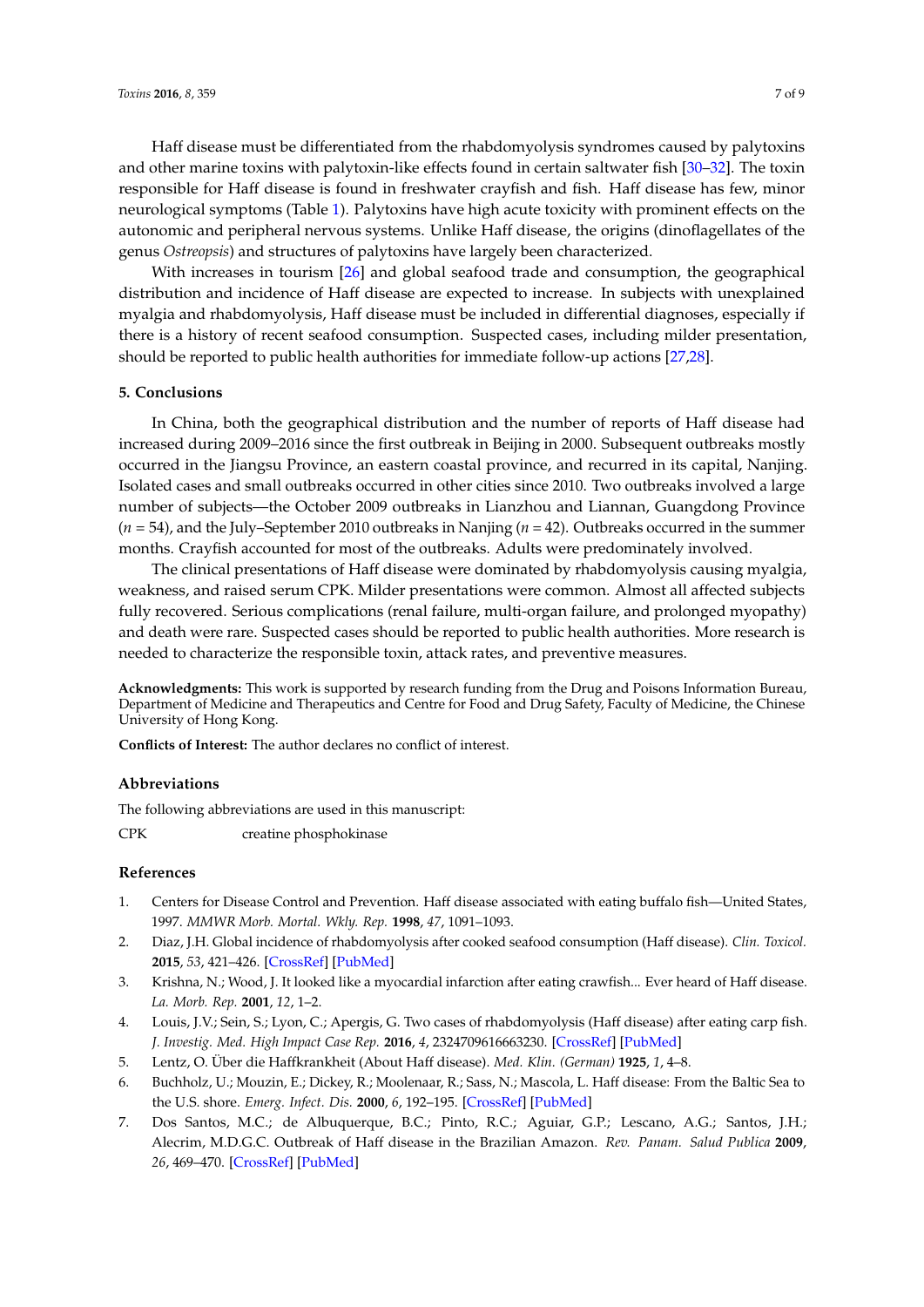Haff disease must be differentiated from the rhabdomyolysis syndromes caused by palytoxins and other marine toxins with palytoxin-like effects found in certain saltwater fish [\[30–](#page-7-39)[32\]](#page-8-0). The toxin responsible for Haff disease is found in freshwater crayfish and fish. Haff disease has few, minor neurological symptoms (Table [1\)](#page-3-0). Palytoxins have high acute toxicity with prominent effects on the autonomic and peripheral nervous systems. Unlike Haff disease, the origins (dinoflagellates of the genus *Ostreopsis*) and structures of palytoxins have largely been characterized.

With increases in tourism [\[26\]](#page-7-34) and global seafood trade and consumption, the geographical distribution and incidence of Haff disease are expected to increase. In subjects with unexplained myalgia and rhabdomyolysis, Haff disease must be included in differential diagnoses, especially if there is a history of recent seafood consumption. Suspected cases, including milder presentation, should be reported to public health authorities for immediate follow-up actions [\[27](#page-7-23)[,28\]](#page-7-24).

## **5. Conclusions**

In China, both the geographical distribution and the number of reports of Haff disease had increased during 2009–2016 since the first outbreak in Beijing in 2000. Subsequent outbreaks mostly occurred in the Jiangsu Province, an eastern coastal province, and recurred in its capital, Nanjing. Isolated cases and small outbreaks occurred in other cities since 2010. Two outbreaks involved a large number of subjects—the October 2009 outbreaks in Lianzhou and Liannan, Guangdong Province (*n* = 54), and the July–September 2010 outbreaks in Nanjing (*n* = 42). Outbreaks occurred in the summer months. Crayfish accounted for most of the outbreaks. Adults were predominately involved.

The clinical presentations of Haff disease were dominated by rhabdomyolysis causing myalgia, weakness, and raised serum CPK. Milder presentations were common. Almost all affected subjects fully recovered. Serious complications (renal failure, multi-organ failure, and prolonged myopathy) and death were rare. Suspected cases should be reported to public health authorities. More research is needed to characterize the responsible toxin, attack rates, and preventive measures.

**Acknowledgments:** This work is supported by research funding from the Drug and Poisons Information Bureau, Department of Medicine and Therapeutics and Centre for Food and Drug Safety, Faculty of Medicine, the Chinese University of Hong Kong.

**Conflicts of Interest:** The author declares no conflict of interest.

#### **Abbreviations**

The following abbreviations are used in this manuscript:

CPK creatine phosphokinase

## **References**

- <span id="page-6-0"></span>1. Centers for Disease Control and Prevention. Haff disease associated with eating buffalo fish—United States, 1997. *MMWR Morb. Mortal. Wkly. Rep.* **1998**, *47*, 1091–1093.
- <span id="page-6-1"></span>2. Diaz, J.H. Global incidence of rhabdomyolysis after cooked seafood consumption (Haff disease). *Clin. Toxicol.* **2015**, *53*, 421–426. [\[CrossRef\]](http://dx.doi.org/10.3109/15563650.2015.1016165) [\[PubMed\]](http://www.ncbi.nlm.nih.gov/pubmed/25789572)
- <span id="page-6-2"></span>3. Krishna, N.; Wood, J. It looked like a myocardial infarction after eating crawfish... Ever heard of Haff disease. *La. Morb. Rep.* **2001**, *12*, 1–2.
- <span id="page-6-3"></span>4. Louis, J.V.; Sein, S.; Lyon, C.; Apergis, G. Two cases of rhabdomyolysis (Haff disease) after eating carp fish. *J. Investig. Med. High Impact Case Rep.* **2016**, *4*, 2324709616663230. [\[CrossRef\]](http://dx.doi.org/10.1177/2324709616663230) [\[PubMed\]](http://www.ncbi.nlm.nih.gov/pubmed/27635408)
- <span id="page-6-4"></span>5. Lentz, O. Über die Haffkrankheit (About Haff disease). *Med. Klin. (German)* **1925**, *1*, 4–8.
- <span id="page-6-5"></span>6. Buchholz, U.; Mouzin, E.; Dickey, R.; Moolenaar, R.; Sass, N.; Mascola, L. Haff disease: From the Baltic Sea to the U.S. shore. *Emerg. Infect. Dis.* **2000**, *6*, 192–195. [\[CrossRef\]](http://dx.doi.org/10.3201/eid0602.000215) [\[PubMed\]](http://www.ncbi.nlm.nih.gov/pubmed/10756156)
- <span id="page-6-6"></span>7. Dos Santos, M.C.; de Albuquerque, B.C.; Pinto, R.C.; Aguiar, G.P.; Lescano, A.G.; Santos, J.H.; Alecrim, M.D.G.C. Outbreak of Haff disease in the Brazilian Amazon. *Rev. Panam. Salud Publica* **2009**, *26*, 469–470. [\[CrossRef\]](http://dx.doi.org/10.1590/S1020-49892009001100012) [\[PubMed\]](http://www.ncbi.nlm.nih.gov/pubmed/20107699)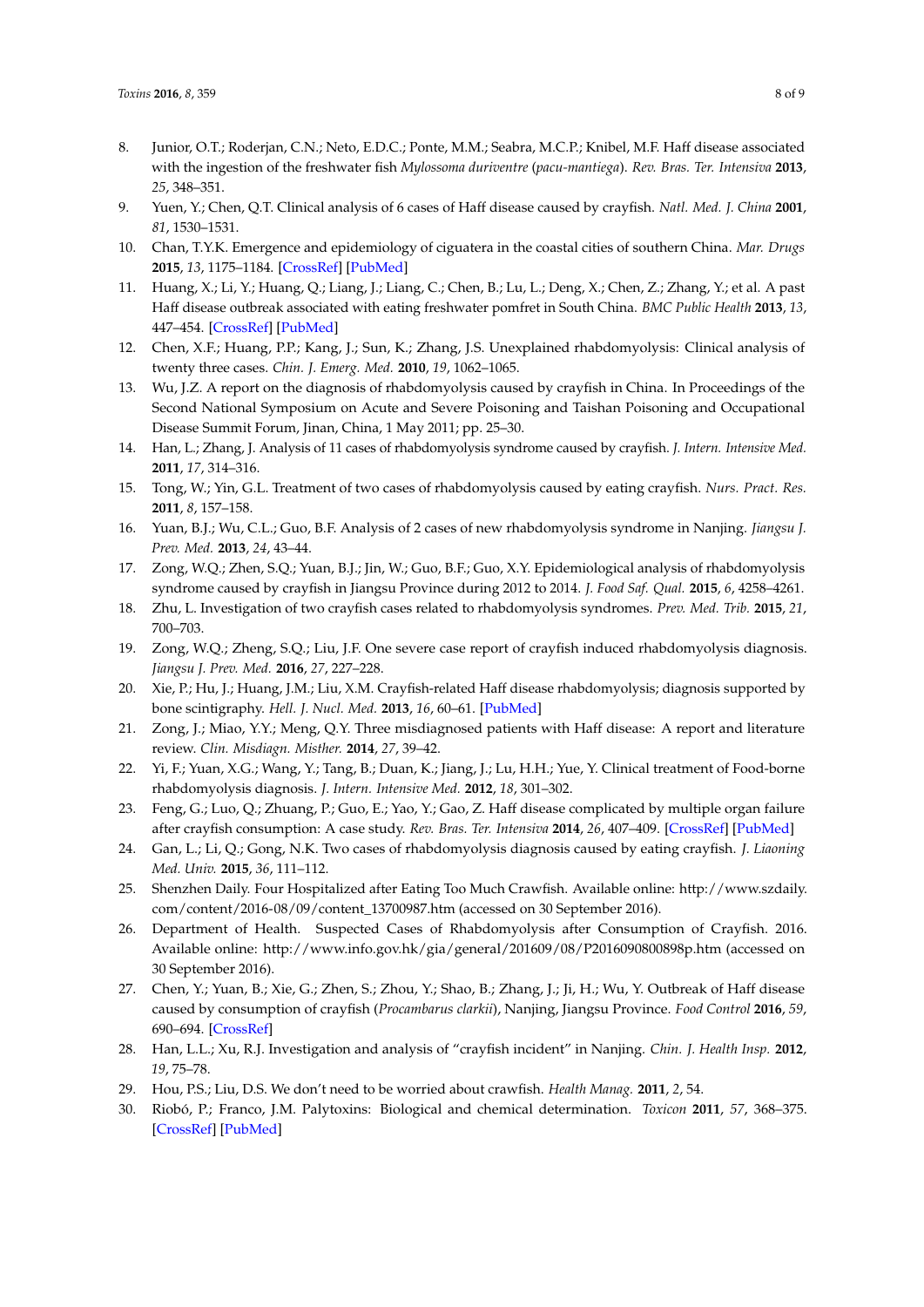- <span id="page-7-10"></span><span id="page-7-9"></span><span id="page-7-8"></span><span id="page-7-7"></span><span id="page-7-6"></span><span id="page-7-5"></span><span id="page-7-4"></span><span id="page-7-3"></span><span id="page-7-0"></span>8. Junior, O.T.; Roderjan, C.N.; Neto, E.D.C.; Ponte, M.M.; Seabra, M.C.P.; Knibel, M.F. Haff disease associated with the ingestion of the freshwater fish *Mylossoma duriventre* (*pacu-mantiega*). *Rev. Bras. Ter. Intensiva* **2013**, *25*, 348–351.
- <span id="page-7-11"></span><span id="page-7-1"></span>9. Yuen, Y.; Chen, Q.T. Clinical analysis of 6 cases of Haff disease caused by crayfish. *Natl. Med. J. China* **2001**, *81*, 1530–1531.
- <span id="page-7-12"></span><span id="page-7-2"></span>10. Chan, T.Y.K. Emergence and epidemiology of ciguatera in the coastal cities of southern China. *Mar. Drugs* **2015**, *13*, 1175–1184. [\[CrossRef\]](http://dx.doi.org/10.3390/md13031175) [\[PubMed\]](http://www.ncbi.nlm.nih.gov/pubmed/25738329)
- <span id="page-7-20"></span><span id="page-7-13"></span>11. Huang, X.; Li, Y.; Huang, Q.; Liang, J.; Liang, C.; Chen, B.; Lu, L.; Deng, X.; Chen, Z.; Zhang, Y.; et al. A past Haff disease outbreak associated with eating freshwater pomfret in South China. *BMC Public Health* **2013**, *13*, 447–454. [\[CrossRef\]](http://dx.doi.org/10.1186/1471-2458-13-447) [\[PubMed\]](http://www.ncbi.nlm.nih.gov/pubmed/23642345)
- <span id="page-7-21"></span><span id="page-7-14"></span>12. Chen, X.F.; Huang, P.P.; Kang, J.; Sun, K.; Zhang, J.S. Unexplained rhabdomyolysis: Clinical analysis of twenty three cases. *Chin. J. Emerg. Med.* **2010**, *19*, 1062–1065.
- <span id="page-7-36"></span><span id="page-7-16"></span><span id="page-7-15"></span>13. Wu, J.Z. A report on the diagnosis of rhabdomyolysis caused by crayfish in China. In Proceedings of the Second National Symposium on Acute and Severe Poisoning and Taishan Poisoning and Occupational Disease Summit Forum, Jinan, China, 1 May 2011; pp. 25–30.
- <span id="page-7-37"></span><span id="page-7-17"></span>14. Han, L.; Zhang, J. Analysis of 11 cases of rhabdomyolysis syndrome caused by crayfish. *J. Intern. Intensive Med.* **2011**, *17*, 314–316.
- <span id="page-7-22"></span><span id="page-7-18"></span>15. Tong, W.; Yin, G.L. Treatment of two cases of rhabdomyolysis caused by eating crayfish. *Nurs. Pract. Res.* **2011**, *8*, 157–158.
- <span id="page-7-25"></span><span id="page-7-19"></span>16. Yuan, B.J.; Wu, C.L.; Guo, B.F. Analysis of 2 cases of new rhabdomyolysis syndrome in Nanjing. *Jiangsu J. Prev. Med.* **2013**, *24*, 43–44.
- <span id="page-7-26"></span>17. Zong, W.Q.; Zhen, S.Q.; Yuan, B.J.; Jin, W.; Guo, B.F.; Guo, X.Y. Epidemiological analysis of rhabdomyolysis syndrome caused by crayfish in Jiangsu Province during 2012 to 2014. *J. Food Saf. Qual.* **2015**, *6*, 4258–4261.
- <span id="page-7-27"></span>18. Zhu, L. Investigation of two crayfish cases related to rhabdomyolysis syndromes. *Prev. Med. Trib.* **2015**, *21*, 700–703.
- <span id="page-7-28"></span>19. Zong, W.Q.; Zheng, S.Q.; Liu, J.F. One severe case report of crayfish induced rhabdomyolysis diagnosis. *Jiangsu J. Prev. Med.* **2016**, *27*, 227–228.
- <span id="page-7-29"></span>20. Xie, P.; Hu, J.; Huang, J.M.; Liu, X.M. Crayfish-related Haff disease rhabdomyolysis; diagnosis supported by bone scintigraphy. *Hell. J. Nucl. Med.* **2013**, *16*, 60–61. [\[PubMed\]](http://www.ncbi.nlm.nih.gov/pubmed/23570026)
- <span id="page-7-35"></span>21. Zong, J.; Miao, Y.Y.; Meng, Q.Y. Three misdiagnosed patients with Haff disease: A report and literature review. *Clin. Misdiagn. Misther.* **2014**, *27*, 39–42.
- <span id="page-7-30"></span>22. Yi, F.; Yuan, X.G.; Wang, Y.; Tang, B.; Duan, K.; Jiang, J.; Lu, H.H.; Yue, Y. Clinical treatment of Food-borne rhabdomyolysis diagnosis. *J. Intern. Intensive Med.* **2012**, *18*, 301–302.
- <span id="page-7-31"></span>23. Feng, G.; Luo, Q.; Zhuang, P.; Guo, E.; Yao, Y.; Gao, Z. Haff disease complicated by multiple organ failure after crayfish consumption: A case study. *Rev. Bras. Ter. Intensiva* **2014**, *26*, 407–409. [\[CrossRef\]](http://dx.doi.org/10.5935/0103-507X.20140062) [\[PubMed\]](http://www.ncbi.nlm.nih.gov/pubmed/25607271)
- <span id="page-7-32"></span>24. Gan, L.; Li, Q.; Gong, N.K. Two cases of rhabdomyolysis diagnosis caused by eating crayfish. *J. Liaoning Med. Univ.* **2015**, *36*, 111–112.
- <span id="page-7-33"></span>25. Shenzhen Daily. Four Hospitalized after Eating Too Much Crawfish. Available online: [http://www.szdaily.](http://www.szdaily.com/content/2016-08/09/content_13700987.htm) [com/content/2016-08/09/content\\_13700987.htm](http://www.szdaily.com/content/2016-08/09/content_13700987.htm) (accessed on 30 September 2016).
- <span id="page-7-34"></span>26. Department of Health. Suspected Cases of Rhabdomyolysis after Consumption of Crayfish. 2016. Available online: <http://www.info.gov.hk/gia/general/201609/08/P2016090800898p.htm> (accessed on 30 September 2016).
- <span id="page-7-23"></span>27. Chen, Y.; Yuan, B.; Xie, G.; Zhen, S.; Zhou, Y.; Shao, B.; Zhang, J.; Ji, H.; Wu, Y. Outbreak of Haff disease caused by consumption of crayfish (*Procambarus clarkii*), Nanjing, Jiangsu Province. *Food Control* **2016**, *59*, 690–694. [\[CrossRef\]](http://dx.doi.org/10.1016/j.foodcont.2015.06.031)
- <span id="page-7-24"></span>28. Han, L.L.; Xu, R.J. Investigation and analysis of "crayfish incident" in Nanjing. *Chin. J. Health Insp.* **2012**, *19*, 75–78.
- <span id="page-7-38"></span>29. Hou, P.S.; Liu, D.S. We don't need to be worried about crawfish. *Health Manag.* **2011**, *2*, 54.
- <span id="page-7-39"></span>30. Riobó, P.; Franco, J.M. Palytoxins: Biological and chemical determination. *Toxicon* **2011**, *57*, 368–375. [\[CrossRef\]](http://dx.doi.org/10.1016/j.toxicon.2010.09.012) [\[PubMed\]](http://www.ncbi.nlm.nih.gov/pubmed/20933536)